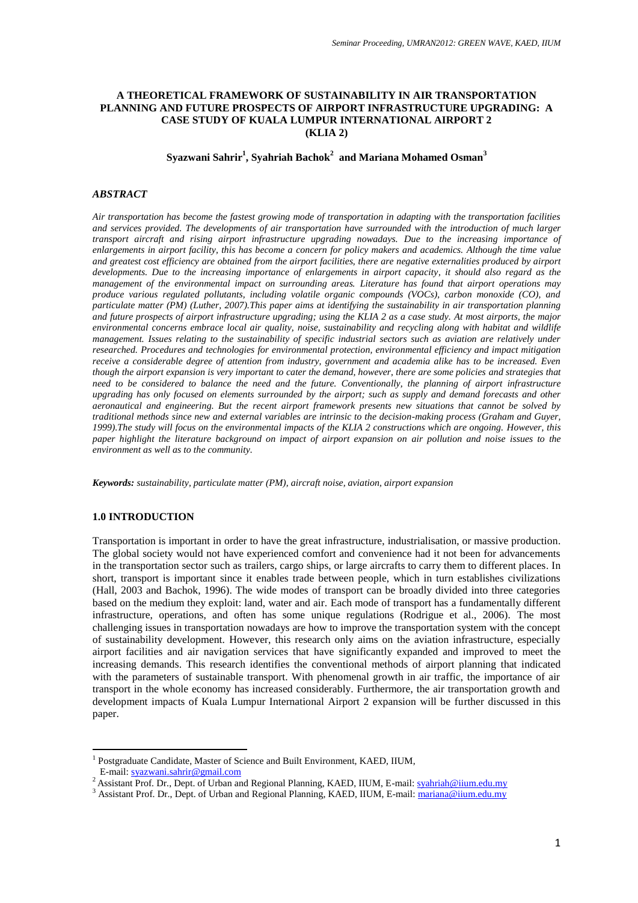## **A THEORETICAL FRAMEWORK OF SUSTAINABILITY IN AIR TRANSPORTATION PLANNING AND FUTURE PROSPECTS OF AIRPORT INFRASTRUCTURE UPGRADING: A CASE STUDY OF KUALA LUMPUR INTERNATIONAL AIRPORT 2 (KLIA 2)**

**Syazwani Sahrir<sup>1</sup> , Syahriah Bachok<sup>2</sup> and Mariana Mohamed Osman<sup>3</sup>**

#### *ABSTRACT*

*Air transportation has become the fastest growing mode of transportation in adapting with the transportation facilities and services provided. The developments of air transportation have surrounded with the introduction of much larger transport aircraft and rising airport infrastructure upgrading nowadays. Due to the increasing importance of enlargements in airport facility, this has become a concern for policy makers and academics. Although the time value and greatest cost efficiency are obtained from the airport facilities, there are negative externalities produced by airport developments. Due to the increasing importance of enlargements in airport capacity, it should also regard as the management of the environmental impact on surrounding areas. Literature has found that airport operations may produce various regulated pollutants, including volatile organic compounds (VOCs), carbon monoxide (CO), and particulate matter (PM) (Luther, 2007).This paper aims at identifying the sustainability in air transportation planning and future prospects of airport infrastructure upgrading; using the KLIA 2 as a case study. At most airports, the major environmental concerns embrace local air quality, noise, sustainability and recycling along with habitat and wildlife management. Issues relating to the sustainability of specific industrial sectors such as aviation are relatively under researched. Procedures and technologies for environmental protection, environmental efficiency and impact mitigation receive a considerable degree of attention from industry, government and academia alike has to be increased. Even though the airport expansion is very important to cater the demand, however, there are some policies and strategies that need to be considered to balance the need and the future. Conventionally, the planning of airport infrastructure upgrading has only focused on elements surrounded by the airport; such as supply and demand forecasts and other aeronautical and engineering. But the recent airport framework presents new situations that cannot be solved by traditional methods since new and external variables are intrinsic to the decision-making process (Graham and Guyer, 1999).The study will focus on the environmental impacts of the KLIA 2 constructions which are ongoing. However, this paper highlight the literature background on impact of airport expansion on air pollution and noise issues to the environment as well as to the community.*

*Keywords: sustainability, particulate matter (PM), aircraft noise, aviation, airport expansion*

### **1.0 INTRODUCTION**

Transportation is important in order to have the great infrastructure, industrialisation, or massive production. The global society would not have experienced comfort and convenience had it not been for advancements in the transportation sector such as trailers, cargo ships, or large aircrafts to carry them to different places. In short, transport is important since it enables trade between people, which in turn establishes civilizations (Hall, 2003 and Bachok, 1996). The wide modes of transport can be broadly divided into three categories based on the medium they exploit: land, water and air. Each mode of transport has a fundamentally different infrastructure, operations, and often has some unique regulations (Rodrigue et al., 2006). The most challenging issues in transportation nowadays are how to improve the transportation system with the concept of sustainability development. However, this research only aims on the aviation infrastructure, especially airport facilities and air navigation services that have significantly expanded and improved to meet the increasing demands. This research identifies the conventional methods of airport planning that indicated with the parameters of sustainable transport. With phenomenal growth in air traffic, the importance of air transport in the whole economy has increased considerably. Furthermore, the air transportation growth and development impacts of Kuala Lumpur International Airport 2 expansion will be further discussed in this paper.

 $\overline{\phantom{a}}$ 

<sup>&</sup>lt;sup>1</sup> Postgraduate Candidate, Master of Science and Built Environment, KAED, IIUM, E-mail[: syazwani.sahrir@gmail.com](mailto:syazwani.sahrir@gmail.com)

<sup>&</sup>lt;sup>2</sup> Assistant Prof. Dr., Dept. of Urban and Regional Planning, KAED, IIUM, E-mail[: syahriah@iium.edu.my](mailto:syahriah@iium.edu.my)

<sup>&</sup>lt;sup>3</sup> Assistant Prof. Dr., Dept. of Urban and Regional Planning, KAED, IIUM, E-mail: [mariana@iium.edu.my](mailto:mariana@iium.edu.my)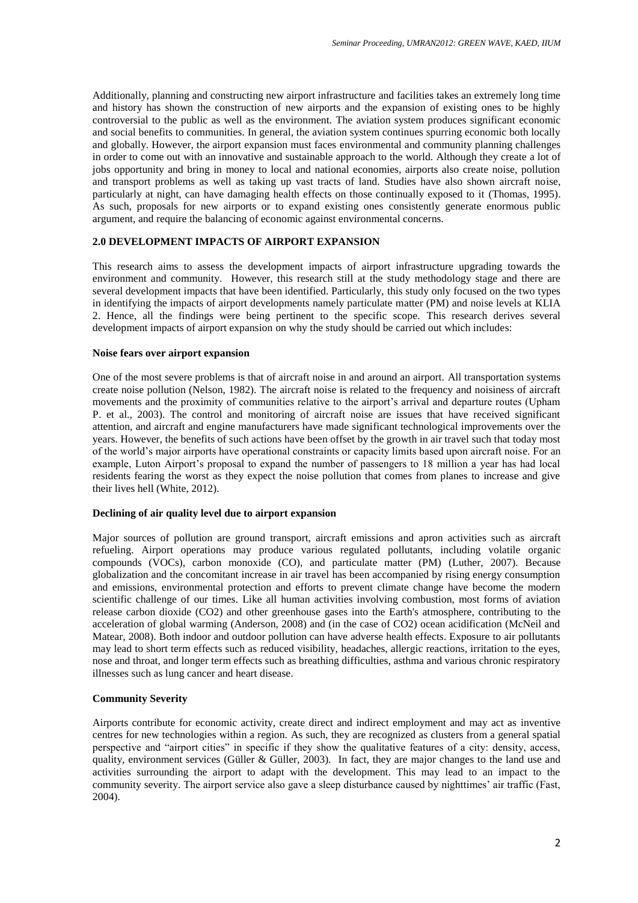Additionally, planning and constructing new airport infrastructure and facilities takes an extremely long time and history has shown the construction of new airports and the expansion of existing ones to be highly controversial to the public as well as the environment. The aviation system produces significant economic and social benefits to communities. In general, the aviation system continues spurring economic both locally and globally. However, the airport expansion must faces environmental and community planning challenges in order to come out with an innovative and sustainable approach to the world. Although they create a lot of jobs opportunity and bring in money to local and national economies, airports also create noise, pollution and transport problems as well as taking up vast tracts of land. Studies have also shown aircraft noise, particularly at night, can have damaging health effects on those continually exposed to it (Thomas, 1995). As such, proposals for new airports or to expand existing ones consistently generate enormous public argument, and require the balancing of economic against environmental concerns.

# **2.0 DEVELOPMENT IMPACTS OF AIRPORT EXPANSION**

This research aims to assess the development impacts of airport infrastructure upgrading towards the environment and community. However, this research still at the study methodology stage and there are several development impacts that have been identified. Particularly, this study only focused on the two types in identifying the impacts of airport developments namely particulate matter (PM) and noise levels at KLIA 2. Hence, all the findings were being pertinent to the specific scope. This research derives several development impacts of airport expansion on why the study should be carried out which includes:

#### **Noise fears over airport expansion**

One of the most severe problems is that of aircraft noise in and around an airport. All transportation systems create noise pollution (Nelson, 1982). The aircraft noise is related to the frequency and noisiness of aircraft movements and the proximity of communities relative to the airport"s arrival and departure routes (Upham P. et al., 2003). The control and monitoring of aircraft noise are issues that have received significant attention, and aircraft and engine manufacturers have made significant technological improvements over the years. However, the benefits of such actions have been offset by the growth in air travel such that today most of the world"s major airports have operational constraints or capacity limits based upon aircraft noise. For an example, Luton Airport's proposal to expand the number of passengers to 18 million a year has had local residents fearing the worst as they expect the noise pollution that comes from planes to increase and give their lives hell (White, 2012).

### **Declining of air quality level due to airport expansion**

Major sources of pollution are ground transport, aircraft emissions and apron activities such as aircraft refueling. Airport operations may produce various regulated pollutants, including volatile organic compounds (VOCs), carbon monoxide (CO), and particulate matter (PM) (Luther, 2007). Because globalization and the concomitant increase in air travel has been accompanied by rising energy consumption and emissions, environmental protection and efforts to prevent climate change have become the modern scientific challenge of our times. Like all human activities involving combustion, most forms of aviation release carbon dioxide (CO2) and other greenhouse gases into the Earth's atmosphere, contributing to the acceleration of global warming (Anderson, 2008) and (in the case of CO2) ocean acidification (McNeil and Matear, 2008). Both indoor and outdoor pollution can have adverse health effects. Exposure to air pollutants may lead to short term effects such as reduced visibility, headaches, allergic reactions, irritation to the eyes, nose and throat, and longer term effects such as breathing difficulties, asthma and various chronic respiratory illnesses such as lung cancer and heart disease.

### **Community Severity**

Airports contribute for economic activity, create direct and indirect employment and may act as inventive centres for new technologies within a region. As such, they are recognized as clusters from a general spatial perspective and "airport cities" in specific if they show the qualitative features of a city: density, access, quality, environment services (Güller & Güller, 2003). In fact, they are major changes to the land use and activities surrounding the airport to adapt with the development. This may lead to an impact to the community severity. The airport service also gave a sleep disturbance caused by nighttimes' air traffic (Fast, 2004).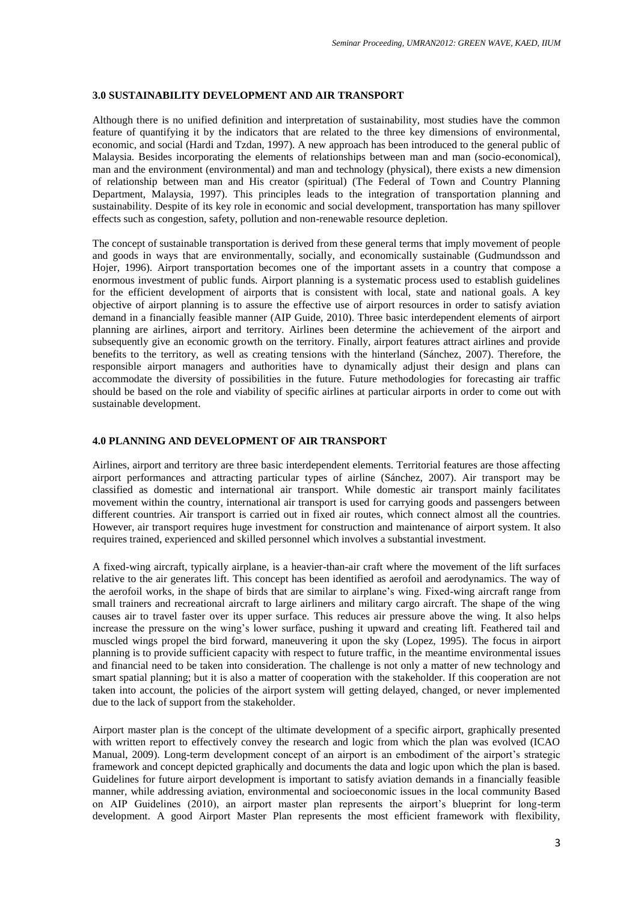# **3.0 SUSTAINABILITY DEVELOPMENT AND AIR TRANSPORT**

Although there is no unified definition and interpretation of sustainability, most studies have the common feature of quantifying it by the indicators that are related to the three key dimensions of environmental, economic, and social (Hardi and Tzdan, 1997). A new approach has been introduced to the general public of Malaysia. Besides incorporating the elements of relationships between man and man (socio-economical), man and the environment (environmental) and man and technology (physical), there exists a new dimension of relationship between man and His creator (spiritual) (The Federal of Town and Country Planning Department, Malaysia, 1997). This principles leads to the integration of transportation planning and sustainability. Despite of its key role in economic and social development, transportation has many spillover effects such as congestion, safety, pollution and non-renewable resource depletion.

The concept of sustainable transportation is derived from these general terms that imply movement of people and goods in ways that are environmentally, socially, and economically sustainable (Gudmundsson and Hojer, 1996). Airport transportation becomes one of the important assets in a country that compose a enormous investment of public funds. Airport planning is a systematic process used to establish guidelines for the efficient development of airports that is consistent with local, state and national goals. A key objective of airport planning is to assure the effective use of airport resources in order to satisfy aviation demand in a financially feasible manner (AIP Guide, 2010). Three basic interdependent elements of airport planning are airlines, airport and territory. Airlines been determine the achievement of the airport and subsequently give an economic growth on the territory. Finally, airport features attract airlines and provide benefits to the territory, as well as creating tensions with the hinterland (Sánchez, 2007). Therefore, the responsible airport managers and authorities have to dynamically adjust their design and plans can accommodate the diversity of possibilities in the future. Future methodologies for forecasting air traffic should be based on the role and viability of specific airlines at particular airports in order to come out with sustainable development.

# **4.0 PLANNING AND DEVELOPMENT OF AIR TRANSPORT**

Airlines, airport and territory are three basic interdependent elements. Territorial features are those affecting airport performances and attracting particular types of airline (Sánchez, 2007). Air transport may be classified as domestic and international air transport. While domestic air transport mainly facilitates movement within the country, international air transport is used for carrying goods and passengers between different countries. Air transport is carried out in fixed air routes, which connect almost all the countries. However, air transport requires huge investment for construction and maintenance of airport system. It also requires trained, experienced and skilled personnel which involves a substantial investment.

A fixed-wing aircraft, typically airplane, is a heavier-than-air craft where the movement of the lift surfaces relative to the air generates lift. This concept has been identified as aerofoil and aerodynamics. The way of the aerofoil works, in the shape of birds that are similar to airplane"s wing. Fixed-wing aircraft range from small trainers and recreational aircraft to large airliners and military cargo aircraft. The shape of the wing causes air to travel faster over its upper surface. This reduces air pressure above the wing. It also helps increase the pressure on the wing"s lower surface, pushing it upward and creating lift. Feathered tail and muscled wings propel the bird forward, maneuvering it upon the sky (Lopez, 1995). The focus in airport planning is to provide sufficient capacity with respect to future traffic, in the meantime environmental issues and financial need to be taken into consideration. The challenge is not only a matter of new technology and smart spatial planning; but it is also a matter of cooperation with the stakeholder. If this cooperation are not taken into account, the policies of the airport system will getting delayed, changed, or never implemented due to the lack of support from the stakeholder.

Airport master plan is the concept of the ultimate development of a specific airport, graphically presented with written report to effectively convey the research and logic from which the plan was evolved (ICAO Manual, 2009). Long-term development concept of an airport is an embodiment of the airport's strategic framework and concept depicted graphically and documents the data and logic upon which the plan is based. Guidelines for future airport development is important to satisfy aviation demands in a financially feasible manner, while addressing aviation, environmental and socioeconomic issues in the local community Based on AIP Guidelines (2010), an airport master plan represents the airport"s blueprint for long-term development. A good Airport Master Plan represents the most efficient framework with flexibility,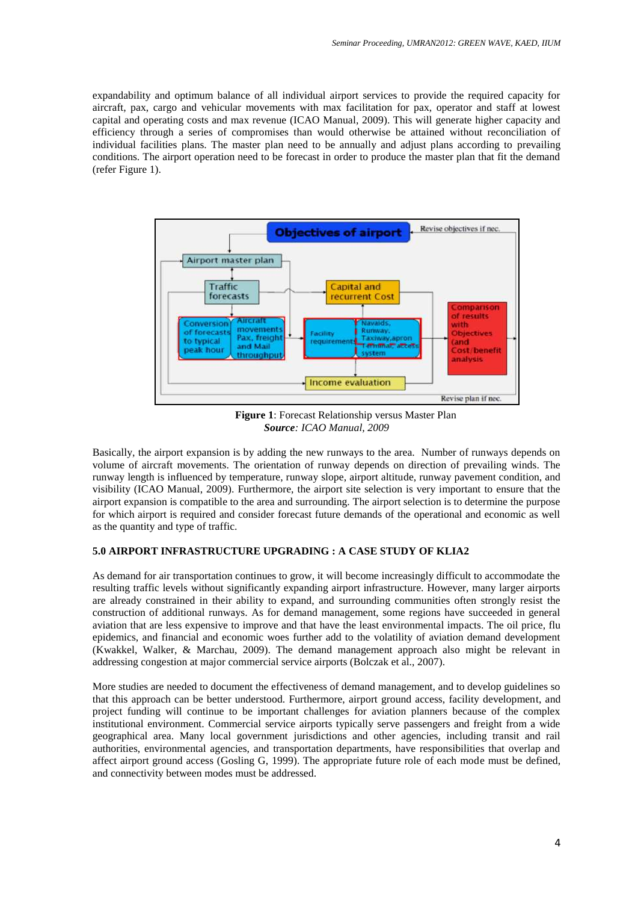expandability and optimum balance of all individual airport services to provide the required capacity for aircraft, pax, cargo and vehicular movements with max facilitation for pax, operator and staff at lowest capital and operating costs and max revenue (ICAO Manual, 2009). This will generate higher capacity and efficiency through a series of compromises than would otherwise be attained without reconciliation of individual facilities plans. The master plan need to be annually and adjust plans according to prevailing conditions. The airport operation need to be forecast in order to produce the master plan that fit the demand (refer Figure 1).



**Figure 1**: Forecast Relationship versus Master Plan *Source: ICAO Manual, 2009*

Basically, the airport expansion is by adding the new runways to the area. Number of runways depends on volume of aircraft movements. The orientation of runway depends on direction of prevailing winds. The runway length is influenced by temperature, runway slope, airport altitude, runway pavement condition, and visibility (ICAO Manual, 2009). Furthermore, the airport site selection is very important to ensure that the airport expansion is compatible to the area and surrounding. The airport selection is to determine the purpose for which airport is required and consider forecast future demands of the operational and economic as well as the quantity and type of traffic.

# **5.0 AIRPORT INFRASTRUCTURE UPGRADING : A CASE STUDY OF KLIA2**

As demand for air transportation continues to grow, it will become increasingly difficult to accommodate the resulting traffic levels without significantly expanding airport infrastructure. However, many larger airports are already constrained in their ability to expand, and surrounding communities often strongly resist the construction of additional runways. As for demand management, some regions have succeeded in general aviation that are less expensive to improve and that have the least environmental impacts. The oil price, flu epidemics, and financial and economic woes further add to the volatility of aviation demand development (Kwakkel, Walker, & Marchau, 2009). The demand management approach also might be relevant in addressing congestion at major commercial service airports (Bolczak et al., 2007).

More studies are needed to document the effectiveness of demand management, and to develop guidelines so that this approach can be better understood. Furthermore, airport ground access, facility development, and project funding will continue to be important challenges for aviation planners because of the complex institutional environment. Commercial service airports typically serve passengers and freight from a wide geographical area. Many local government jurisdictions and other agencies, including transit and rail authorities, environmental agencies, and transportation departments, have responsibilities that overlap and affect airport ground access (Gosling G, 1999). The appropriate future role of each mode must be defined, and connectivity between modes must be addressed.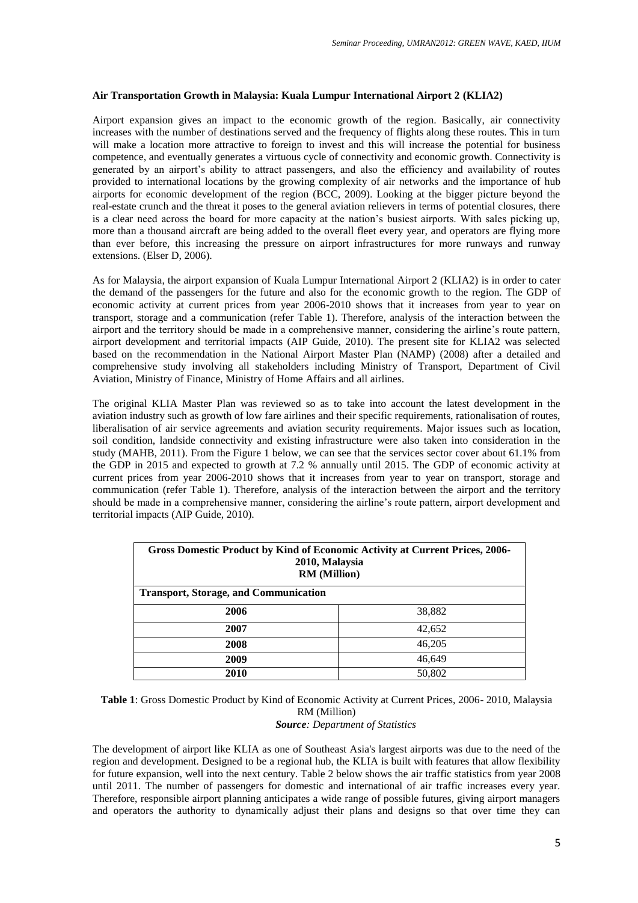# **Air Transportation Growth in Malaysia: Kuala Lumpur International Airport 2 (KLIA2)**

Airport expansion gives an impact to the economic growth of the region. Basically, air connectivity increases with the number of destinations served and the frequency of flights along these routes. This in turn will make a location more attractive to foreign to invest and this will increase the potential for business competence, and eventually generates a virtuous cycle of connectivity and economic growth. Connectivity is generated by an airport's ability to attract passengers, and also the efficiency and availability of routes provided to international locations by the growing complexity of air networks and the importance of hub airports for economic development of the region (BCC, 2009). Looking at the bigger picture beyond the real-estate crunch and the threat it poses to the general aviation relievers in terms of potential closures, there is a clear need across the board for more capacity at the nation"s busiest airports. With sales picking up, more than a thousand aircraft are being added to the overall fleet every year, and operators are flying more than ever before, this increasing the pressure on airport infrastructures for more runways and runway extensions. (Elser D, 2006).

As for Malaysia, the airport expansion of Kuala Lumpur International Airport 2 (KLIA2) is in order to cater the demand of the passengers for the future and also for the economic growth to the region. The GDP of economic activity at current prices from year 2006-2010 shows that it increases from year to year on transport, storage and a communication (refer Table 1). Therefore, analysis of the interaction between the airport and the territory should be made in a comprehensive manner, considering the airline"s route pattern, airport development and territorial impacts (AIP Guide, 2010). The present site for KLIA2 was selected based on the recommendation in the National Airport Master Plan (NAMP) (2008) after a detailed and comprehensive study involving all stakeholders including Ministry of Transport, Department of Civil Aviation, Ministry of Finance, Ministry of Home Affairs and all airlines.

The original KLIA Master Plan was reviewed so as to take into account the latest development in the aviation industry such as growth of low fare airlines and their specific requirements, rationalisation of routes, liberalisation of air service agreements and aviation security requirements. Major issues such as location, soil condition, landside connectivity and existing infrastructure were also taken into consideration in the study (MAHB, 2011). From the Figure 1 below, we can see that the services sector cover about 61.1% from the GDP in 2015 and expected to growth at 7.2 % annually until 2015. The GDP of economic activity at current prices from year 2006-2010 shows that it increases from year to year on transport, storage and communication (refer Table 1). Therefore, analysis of the interaction between the airport and the territory should be made in a comprehensive manner, considering the airline"s route pattern, airport development and territorial impacts (AIP Guide, 2010).

| <b>Gross Domestic Product by Kind of Economic Activity at Current Prices, 2006-</b><br>2010, Malaysia<br><b>RM</b> (Million) |        |  |  |  |
|------------------------------------------------------------------------------------------------------------------------------|--------|--|--|--|
| <b>Transport, Storage, and Communication</b>                                                                                 |        |  |  |  |
| 2006                                                                                                                         | 38,882 |  |  |  |
| 2007                                                                                                                         | 42,652 |  |  |  |
| 2008                                                                                                                         | 46,205 |  |  |  |
| 2009                                                                                                                         | 46.649 |  |  |  |
| 2010                                                                                                                         | 50,802 |  |  |  |

**Table 1**: Gross Domestic Product by Kind of Economic Activity at Current Prices, 2006- 2010, Malaysia RM (Million) *Source: Department of Statistics*

The development of airport like KLIA as one of Southeast Asia's largest airports was due to the need of the region and development. Designed to be a regional hub, the KLIA is built with features that allow flexibility for future expansion, well into the next century. Table 2 below shows the air traffic statistics from year 2008 until 2011. The number of passengers for domestic and international of air traffic increases every year. Therefore, responsible airport planning anticipates a wide range of possible futures, giving airport managers and operators the authority to dynamically adjust their plans and designs so that over time they can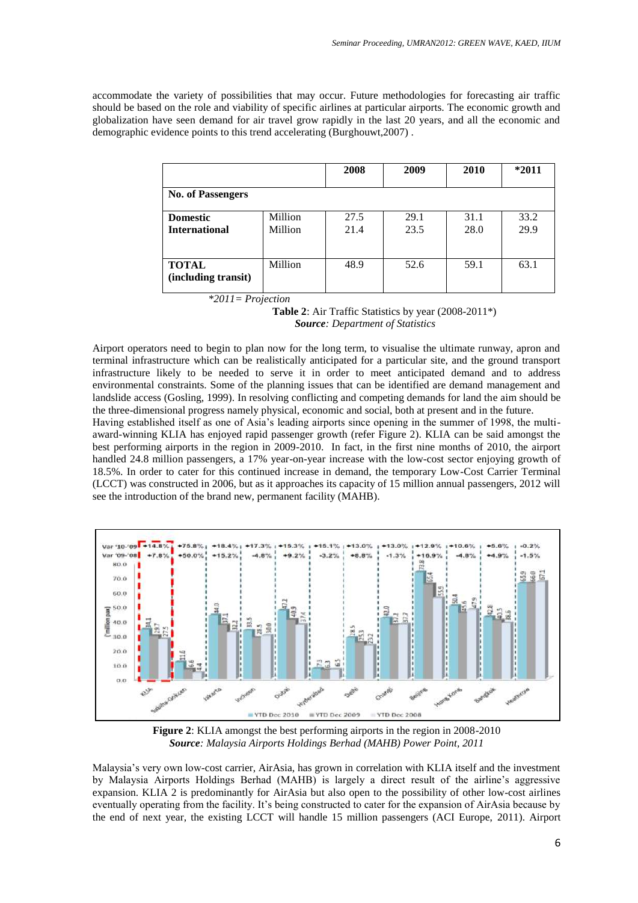accommodate the variety of possibilities that may occur. Future methodologies for forecasting air traffic should be based on the role and viability of specific airlines at particular airports. The economic growth and globalization have seen demand for air travel grow rapidly in the last 20 years, and all the economic and demographic evidence points to this trend accelerating (Burghouwt,2007) .

|                                         |                    | 2008         | 2009         | 2010         | $*2011$      |
|-----------------------------------------|--------------------|--------------|--------------|--------------|--------------|
| <b>No. of Passengers</b>                |                    |              |              |              |              |
| <b>Domestic</b><br><b>International</b> | Million<br>Million | 27.5<br>21.4 | 29.1<br>23.5 | 31.1<br>28.0 | 33.2<br>29.9 |
| <b>TOTAL</b><br>(including transit)     | Million            | 48.9         | 52.6         | 59.1         | 63.1         |
| $*2011 = Projection$                    |                    |              |              |              |              |

**Table 2**: Air Traffic Statistics by year (2008-2011\*) *Source: Department of Statistics*

Airport operators need to begin to plan now for the long term, to visualise the ultimate runway, apron and terminal infrastructure which can be realistically anticipated for a particular site, and the ground transport infrastructure likely to be needed to serve it in order to meet anticipated demand and to address environmental constraints. Some of the planning issues that can be identified are demand management and landslide access (Gosling, 1999). In resolving conflicting and competing demands for land the aim should be the three-dimensional progress namely physical, economic and social, both at present and in the future.

Having established itself as one of Asia"s leading airports since opening in the summer of 1998, the multiaward-winning KLIA has enjoyed rapid passenger growth (refer Figure 2). KLIA can be said amongst the best performing airports in the region in 2009-2010. In fact, in the first nine months of 2010, the airport handled 24.8 million passengers, a 17% year-on-year increase with the low-cost sector enjoying growth of 18.5%. In order to cater for this continued increase in demand, the temporary Low-Cost Carrier Terminal (LCCT) was constructed in 2006, but as it approaches its capacity of 15 million annual passengers, 2012 will see the introduction of the brand new, permanent facility (MAHB).



**Figure 2**: KLIA amongst the best performing airports in the region in 2008-2010 *Source: Malaysia Airports Holdings Berhad (MAHB) Power Point, 2011*

Malaysia"s very own low-cost carrier, AirAsia, has grown in correlation with KLIA itself and the investment by Malaysia Airports Holdings Berhad (MAHB) is largely a direct result of the airline"s aggressive expansion. KLIA 2 is predominantly for AirAsia but also open to the possibility of other low-cost airlines eventually operating from the facility. It's being constructed to cater for the expansion of AirAsia because by the end of next year, the existing LCCT will handle 15 million passengers (ACI Europe, 2011). Airport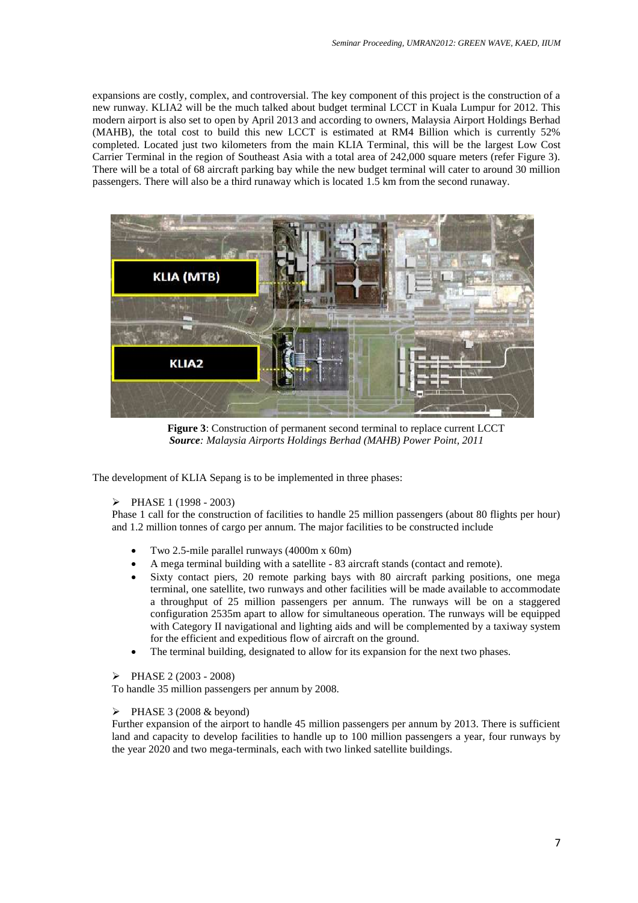expansions are costly, complex, and controversial. The key component of this project is the construction of a new runway. KLIA2 will be the much talked about budget terminal LCCT in Kuala Lumpur for 2012. This modern airport is also set to open by April 2013 and according to owners, Malaysia Airport Holdings Berhad (MAHB), the total cost to build this new LCCT is estimated at RM4 Billion which is currently 52% completed. Located just two kilometers from the main KLIA Terminal, this will be the largest Low Cost Carrier Terminal in the region of Southeast Asia with a total area of 242,000 square meters (refer Figure 3). There will be a total of 68 aircraft parking bay while the new budget terminal will cater to around 30 million passengers. There will also be a third runaway which is located 1.5 km from the second runaway.



**Figure 3**: Construction of permanent second terminal to replace current LCCT *Source: Malaysia Airports Holdings Berhad (MAHB) Power Point, 2011*

The development of KLIA Sepang is to be implemented in three phases:

# $\triangleright$  PHASE 1 (1998 - 2003)

Phase 1 call for the construction of facilities to handle 25 million passengers (about 80 flights per hour) and 1.2 million tonnes of cargo per annum. The major facilities to be constructed include

- Two 2.5-mile parallel runways (4000m x 60m)
- A mega terminal building with a satellite 83 aircraft stands (contact and remote).
- Sixty contact piers, 20 remote parking bays with 80 aircraft parking positions, one mega terminal, one satellite, two runways and other facilities will be made available to accommodate a throughput of 25 million passengers per annum. The runways will be on a staggered configuration 2535m apart to allow for simultaneous operation. The runways will be equipped with Category II navigational and lighting aids and will be complemented by a taxiway system for the efficient and expeditious flow of aircraft on the ground.
- The terminal building, designated to allow for its expansion for the next two phases.

### PHASE 2 (2003 - 2008)

To handle 35 million passengers per annum by 2008.

# $\triangleright$  PHASE 3 (2008 & beyond)

Further expansion of the airport to handle 45 million passengers per annum by 2013. There is sufficient land and capacity to develop facilities to handle up to 100 million passengers a year, four runways by the year 2020 and two mega-terminals, each with two linked satellite buildings.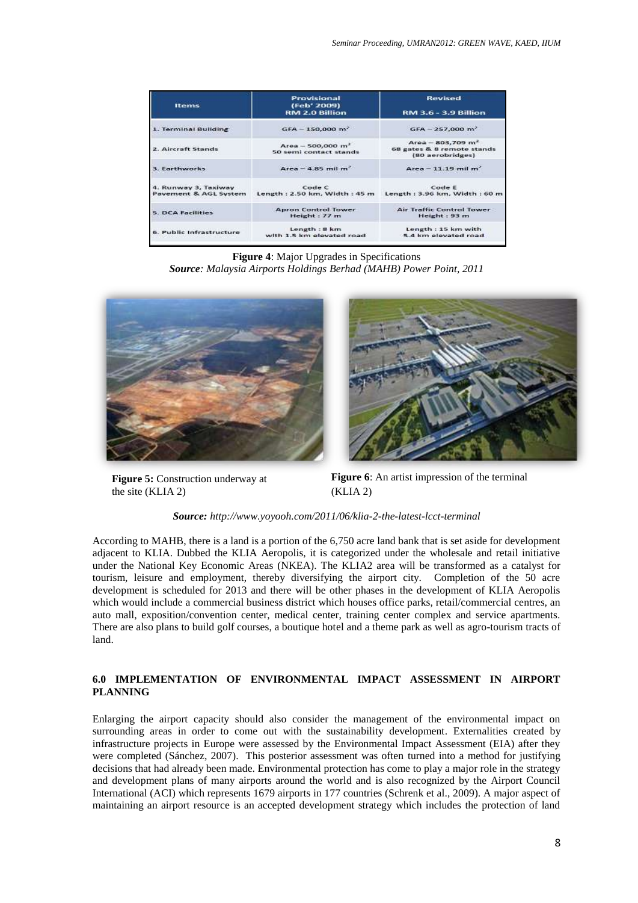| <b>Items</b>                                                    | Provisional<br>(Feb' 2009)<br><b>RM 2.0 Billion</b> | <b>Revised</b><br><b>RM 3.6 - 3.9 Billion</b><br>$GFA - 257,000 m3$   |  |  |
|-----------------------------------------------------------------|-----------------------------------------------------|-----------------------------------------------------------------------|--|--|
| 1. Terminal Building                                            | $GFA - 150,000 m2$                                  |                                                                       |  |  |
| 2. Aircraft Stands                                              | $Area - 500,000 m2$<br>50 semi contact stands       | $Area - 803,709 m2$<br>68 gates & 8 remote stands<br>(80 aerobridges) |  |  |
| 3. Earthworks                                                   | Area $-$ 4.85 mil m <sup>2</sup>                    | Area $-11.19$ mil m <sup>2</sup>                                      |  |  |
| 4. Runway 3, Taxiway<br>Pavement & AGL System                   | Code C<br>Length: $2.50$ km, Width: $45$ m          | Code E<br>Length : 3.96 km, Width : 60 m                              |  |  |
| <b>Apron Control Tower</b><br>5. DCA Facilities<br>Height: 77 m |                                                     | Air Traffic Control Tower<br>Height: 93 m                             |  |  |
| 6. Public Infrastructure                                        | Length: 8 km<br>with 1.5 km elevated road           | Length: 15 km with<br>5.4 km elevated road                            |  |  |

**Figure 4**: Major Upgrades in Specifications *Source: Malaysia Airports Holdings Berhad (MAHB) Power Point, 2011*



**Figure 5:** Construction underway at the site (KLIA 2)



**Figure 6**: An artist impression of the terminal (KLIA 2)

*Source: <http://www.yoyooh.com/2011/06/klia-2-the-latest-lcct-terminal>*

According to MAHB, there is a land is a portion of the 6,750 acre land bank that is set aside for development adjacent to KLIA. Dubbed the KLIA Aeropolis, it is categorized under the wholesale and retail initiative under the National Key Economic Areas (NKEA). The KLIA2 area will be transformed as a catalyst for tourism, leisure and employment, thereby diversifying the airport city. Completion of the 50 acre development is scheduled for 2013 and there will be other phases in the development of KLIA Aeropolis which would include a commercial business district which houses office parks, retail/commercial centres, an auto mall, exposition/convention center, medical center, training center complex and service apartments. There are also plans to build golf courses, a boutique hotel and a theme park as well as agro-tourism tracts of land.

# **6.0 IMPLEMENTATION OF ENVIRONMENTAL IMPACT ASSESSMENT IN AIRPORT PLANNING**

Enlarging the airport capacity should also consider the management of the environmental impact on surrounding areas in order to come out with the sustainability development. Externalities created by infrastructure projects in Europe were assessed by the Environmental Impact Assessment (EIA) after they were completed (Sánchez, 2007). This posterior assessment was often turned into a method for justifying decisions that had already been made. Environmental protection has come to play a major role in the strategy and development plans of many airports around the world and is also recognized by the Airport Council International (ACI) which represents 1679 airports in 177 countries (Schrenk et al., 2009). A major aspect of maintaining an airport resource is an accepted development strategy which includes the protection of land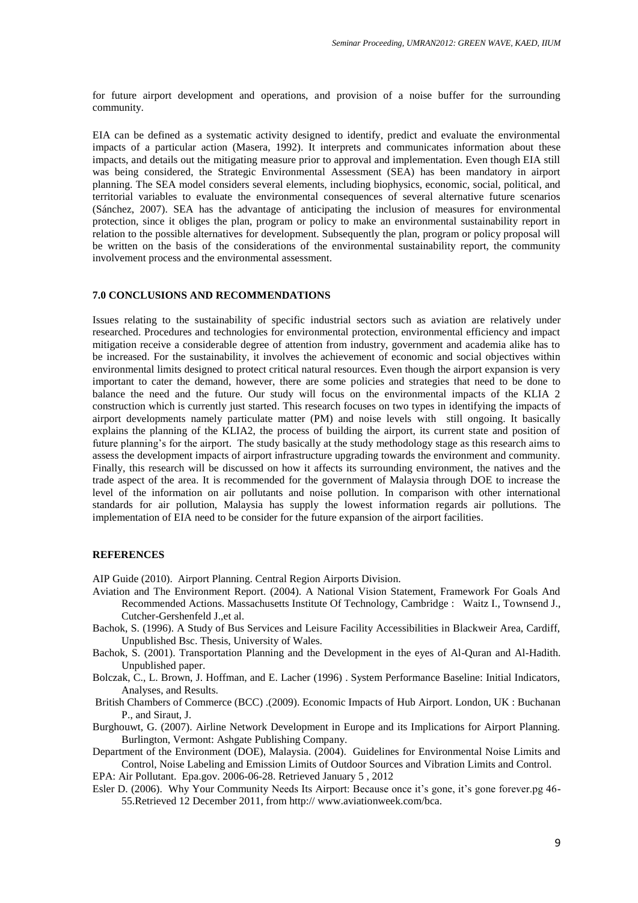for future airport development and operations, and provision of a noise buffer for the surrounding community.

EIA can be defined as a systematic activity designed to identify, predict and evaluate the environmental impacts of a particular action (Masera, 1992). It interprets and communicates information about these impacts, and details out the mitigating measure prior to approval and implementation. Even though EIA still was being considered, the Strategic Environmental Assessment (SEA) has been mandatory in airport planning. The SEA model considers several elements, including biophysics, economic, social, political, and territorial variables to evaluate the environmental consequences of several alternative future scenarios (Sánchez, 2007). SEA has the advantage of anticipating the inclusion of measures for environmental protection, since it obliges the plan, program or policy to make an environmental sustainability report in relation to the possible alternatives for development. Subsequently the plan, program or policy proposal will be written on the basis of the considerations of the environmental sustainability report, the community involvement process and the environmental assessment.

### **7.0 CONCLUSIONS AND RECOMMENDATIONS**

Issues relating to the sustainability of specific industrial sectors such as aviation are relatively under researched. Procedures and technologies for environmental protection, environmental efficiency and impact mitigation receive a considerable degree of attention from industry, government and academia alike has to be increased. For the sustainability, it involves the achievement of economic and social objectives within environmental limits designed to protect critical natural resources. Even though the airport expansion is very important to cater the demand, however, there are some policies and strategies that need to be done to balance the need and the future. Our study will focus on the environmental impacts of the KLIA 2 construction which is currently just started. This research focuses on two types in identifying the impacts of airport developments namely particulate matter (PM) and noise levels with still ongoing. It basically explains the planning of the KLIA2, the process of building the airport, its current state and position of future planning's for the airport. The study basically at the study methodology stage as this research aims to assess the development impacts of airport infrastructure upgrading towards the environment and community. Finally, this research will be discussed on how it affects its surrounding environment, the natives and the trade aspect of the area. It is recommended for the government of Malaysia through DOE to increase the level of the information on air pollutants and noise pollution. In comparison with other international standards for air pollution, Malaysia has supply the lowest information regards air pollutions. The implementation of EIA need to be consider for the future expansion of the airport facilities.

#### **REFERENCES**

AIP Guide (2010). Airport Planning. Central Region Airports Division.

- Aviation and The Environment Report. (2004). A National Vision Statement, Framework For Goals And Recommended Actions. Massachusetts Institute Of Technology, Cambridge : Waitz I., Townsend J., Cutcher-Gershenfeld J.,et al.
- Bachok, S. (1996). A Study of Bus Services and Leisure Facility Accessibilities in Blackweir Area, Cardiff, Unpublished Bsc. Thesis, University of Wales.
- Bachok, S. (2001). Transportation Planning and the Development in the eyes of Al-Quran and Al-Hadith. Unpublished paper.
- Bolczak, C., L. Brown, J. Hoffman, and E. Lacher (1996) . System Performance Baseline: Initial Indicators, Analyses, and Results.
- British Chambers of Commerce (BCC) .(2009). Economic Impacts of Hub Airport. London, UK : Buchanan P., and Siraut, J.
- Burghouwt, G. (2007). Airline Network Development in Europe and its Implications for Airport Planning. Burlington, Vermont: Ashgate Publishing Company.
- Department of the Environment (DOE), Malaysia. (2004). Guidelines for Environmental Noise Limits and Control, Noise Labeling and Emission Limits of Outdoor Sources and Vibration Limits and Control.

EPA: Air Pollutant. Epa.gov. 2006-06-28. Retrieved January 5 , 2012

Esler D. (2006). Why Your Community Needs Its Airport: Because once it's gone, it's gone forever.pg 46-55.Retrieved 12 December 2011, from http:// www.aviationweek.com/bca.